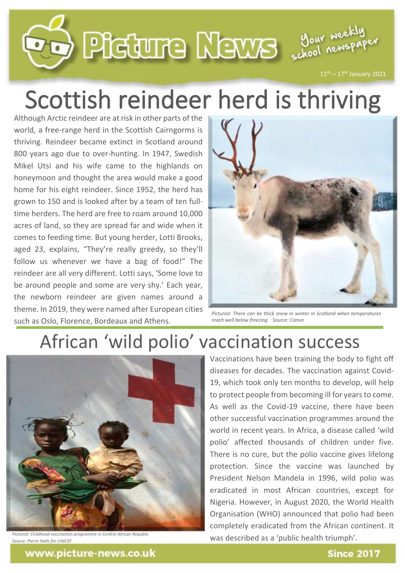

## Scottish reindeer herd is thriving

Although Arctic reindeer are at risk in other parts of the world, a free-range herd in the Scottish Cairngorms is thriving. Reindeer became extinct in Scotland around 800 years ago due to over-hunting. In 1947, Swedish Mikel Utsi and his wife came to the highlands on honeymoon and thought the area would make a good home for his eight reindeer. Since 1952, the herd has grown to 150 and is looked after by a team of ten fulltime herders. The herd are free to roam around 10,000 acres of land, so they are spread far and wide when it comes to feeding time. But young herder, Lotti Brooks, aged 23, explains, "They're really greedy, so they'll follow us whenever we have a bag of food!" The reindeer are all very different. Lotti says, 'Some love to be around people and some are very shy.' Each year, the newborn reindeer are given names around a theme. In 2019, they were named after European cities such as Oslo, Florence, Bordeaux and Athens.



*Pictured: There can be thick snow in winter in Scotland when temperatures reach well below freezing. Source: Canva*

## African 'wild polio' vaccination success



*Pictured: Childhood vaccination programme in Central African Republic Source: Pierre Holtz for UNICEF*

Vaccinations have been training the body to fight off diseases for decades. The vaccination against Covid-19, which took only ten months to develop, will help to protect people from becoming ill for years to come. As well as the Covid-19 vaccine, there have been other successful vaccination programmes around the world in recent years. In Africa, a disease called 'wild polio' affected thousands of children under five. There is no cure, but the polio vaccine gives lifelong protection. Since the vaccine was launched by President Nelson Mandela in 1996, wild polio was eradicated in most African countries, except for Nigeria. However, in August 2020, the World Health Organisation (WHO) announced that polio had been completely eradicated from the African continent. It was described as a 'public health triumph'.